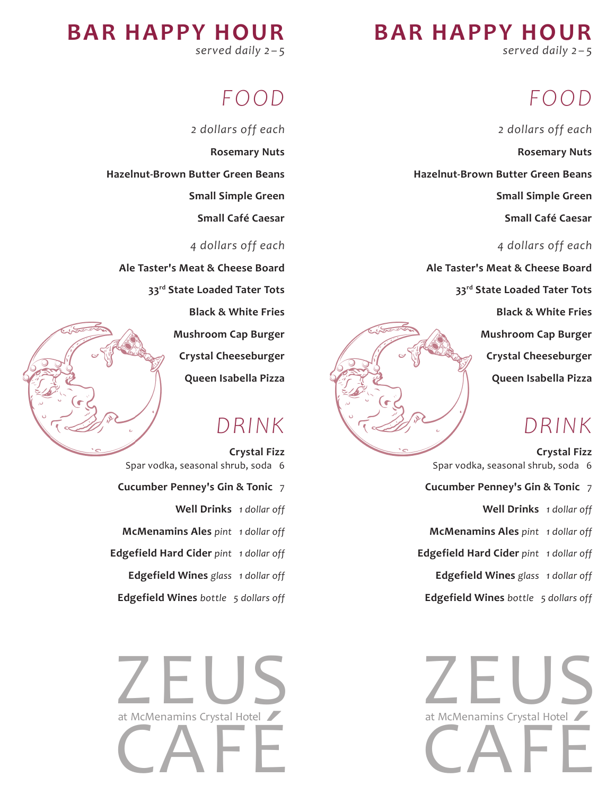**BAR HAPPY HOUR**

*served daily 2 – 5*

## *FO OD*

*2 dollars off each*

**Rosemary Nuts**

**Hazelnut-Brown Butter Green Beans**

**Small Simple Green** 

**Small Café Caesar** 

*4 dollars off each*

**Ale Taster's Meat & Cheese Board**

**33rd State Loaded Tater Tots**

**Black & White Fries**

**Mushroom Cap Burger** 

**Crystal Cheeseburger**

**Queen Isabella Pizza** 

### *DRINK*

**Crystal Fizz**  Spar vodka, seasonal shrub, soda 6 **Cucumber Penney's Gin & Tonic** 7 **Well Drinks** *1 dollar off* **McMenamins Ales** *pint 1 dollar off* **Edgefield Hard Cider** *pint 1 dollar off* **Edgefield Wines** *glass 1 dollar off* **Edgefield Wines** *bottle 5 dollars off*



**BAR HAPPY HOUR** *served daily 2 – 5*

## *FO OD*

*2 dollars off each* **Rosemary Nuts Hazelnut-Brown Butter Green Beans Small Simple Green Small Café Caesar**  *4 dollars off each*

**Ale Taster's Meat & Cheese Board**

**33rd State Loaded Tater Tots**

**Black & White Fries**

**Mushroom Cap Burger Crystal Cheeseburger Queen Isabella Pizza** 

### *DRINK*

**Crystal Fizz**  Spar vodka, seasonal shrub, soda 6 **Cucumber Penney's Gin & Tonic** 7 **Well Drinks** *1 dollar off* **McMenamins Ales** *pint 1 dollar off* **Edgefield Hard Cider** *pint 1 dollar off* **Edgefield Wines** *glass 1 dollar off* **Edgefield Wines** *bottle 5 dollars off*

2 EUS at McMenamins Crystal Hotel